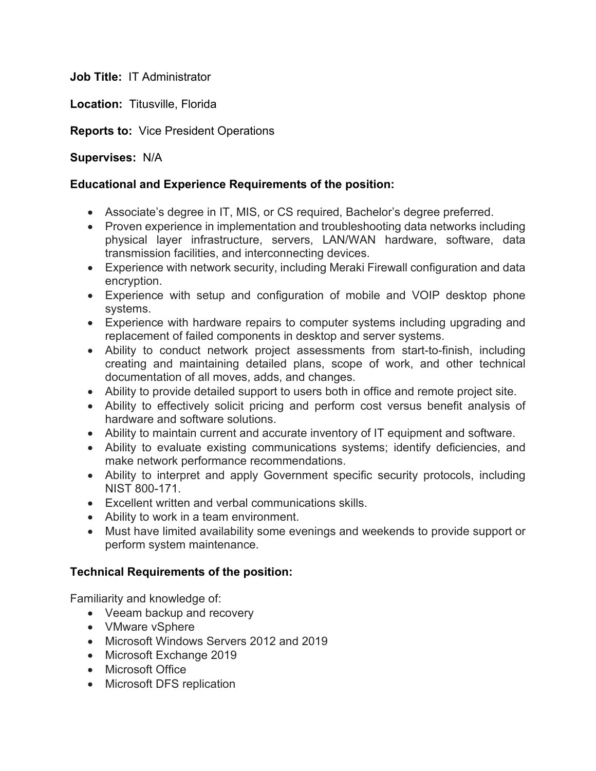**Job Title:** IT Administrator

**Location:** Titusville, Florida

**Reports to:** Vice President Operations

## **Supervises:** N/A

## **Educational and Experience Requirements of the position:**

- Associate's degree in IT, MIS, or CS required, Bachelor's degree preferred.
- Proven experience in implementation and troubleshooting data networks including physical layer infrastructure, servers, LAN/WAN hardware, software, data transmission facilities, and interconnecting devices.
- Experience with network security, including Meraki Firewall configuration and data encryption.
- Experience with setup and configuration of mobile and VOIP desktop phone systems.
- Experience with hardware repairs to computer systems including upgrading and replacement of failed components in desktop and server systems.
- Ability to conduct network project assessments from start-to-finish, including creating and maintaining detailed plans, scope of work, and other technical documentation of all moves, adds, and changes.
- Ability to provide detailed support to users both in office and remote project site.
- Ability to effectively solicit pricing and perform cost versus benefit analysis of hardware and software solutions.
- Ability to maintain current and accurate inventory of IT equipment and software.
- Ability to evaluate existing communications systems; identify deficiencies, and make network performance recommendations.
- Ability to interpret and apply Government specific security protocols, including NIST 800-171.
- Excellent written and verbal communications skills.
- Ability to work in a team environment.
- Must have limited availability some evenings and weekends to provide support or perform system maintenance.

## **Technical Requirements of the position:**

Familiarity and knowledge of:

- Veeam backup and recovery
- VMware vSphere
- Microsoft Windows Servers 2012 and 2019
- Microsoft Exchange 2019
- Microsoft Office
- Microsoft DFS replication